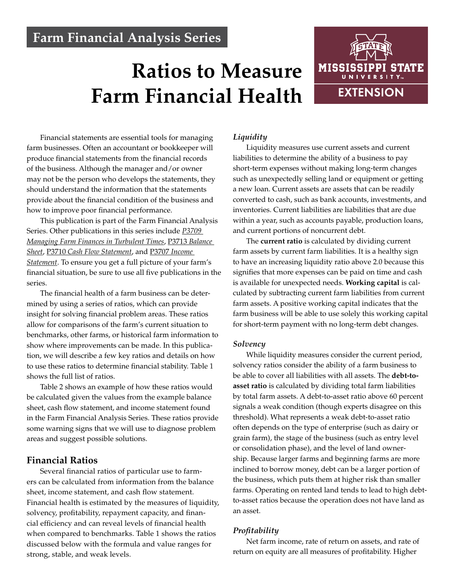# **Farm Financial Analysis Series**

# **Ratios to Measure Farm Financial Health**



Financial statements are essential tools for managing farm businesses. Often an accountant or bookkeeper will produce financial statements from the financial records of the business. Although the manager and/or owner may not be the person who develops the statements, they should understand the information that the statements provide about the financial condition of the business and how to improve poor financial performance.

This publication is part of the Farm Financial Analysis Series. Other publications in this series include *[P3709](http://extension.msstate.edu/publications/farm-financial-analysis-series-managing-farm-finances-turbulent-times) [Managing Farm Finances in Turbulent Times](http://extension.msstate.edu/publications/farm-financial-analysis-series-managing-farm-finances-turbulent-times)*, P3713 *[Balance](http://extension.msstate.edu/publications/farm-financial-analysis-series-balance-sheet)  [Sheet](http://extension.msstate.edu/publications/farm-financial-analysis-series-balance-sheet)*, P3710 *[Cash Flow Statement](http://extension.msstate.edu/publications/farm-financial-analysis-series-cash-flow-statement)*, and P3707 *[Income](http://extension.msstate.edu/publications/farm-financial-analysis-series-income-statement)  [Statement](http://extension.msstate.edu/publications/farm-financial-analysis-series-income-statement)*. To ensure you get a full picture of your farm's financial situation, be sure to use all five publications in the series.

The financial health of a farm business can be determined by using a series of ratios, which can provide insight for solving financial problem areas. These ratios allow for comparisons of the farm's current situation to benchmarks, other farms, or historical farm information to show where improvements can be made. In this publication, we will describe a few key ratios and details on how to use these ratios to determine financial stability. Table 1 shows the full list of ratios.

Table 2 shows an example of how these ratios would be calculated given the values from the example balance sheet, cash flow statement, and income statement found in the Farm Financial Analysis Series. These ratios provide some warning signs that we will use to diagnose problem areas and suggest possible solutions.

# **Financial Ratios**

Several financial ratios of particular use to farmers can be calculated from information from the balance sheet, income statement, and cash flow statement. Financial health is estimated by the measures of liquidity, solvency, profitability, repayment capacity, and financial efficiency and can reveal levels of financial health when compared to benchmarks. Table 1 shows the ratios discussed below with the formula and value ranges for strong, stable, and weak levels.

# *Liquidity*

Liquidity measures use current assets and current liabilities to determine the ability of a business to pay short-term expenses without making long-term changes such as unexpectedly selling land or equipment or getting a new loan. Current assets are assets that can be readily converted to cash, such as bank accounts, investments, and inventories. Current liabilities are liabilities that are due within a year, such as accounts payable, production loans, and current portions of noncurrent debt.

The **current ratio** is calculated by dividing current farm assets by current farm liabilities. It is a healthy sign to have an increasing liquidity ratio above 2.0 because this signifies that more expenses can be paid on time and cash is available for unexpected needs. **Working capital** is calculated by subtracting current farm liabilities from current farm assets. A positive working capital indicates that the farm business will be able to use solely this working capital for short-term payment with no long-term debt changes.

# *Solvency*

While liquidity measures consider the current period, solvency ratios consider the ability of a farm business to be able to cover all liabilities with all assets. The **debt-toasset ratio** is calculated by dividing total farm liabilities by total farm assets. A debt-to-asset ratio above 60 percent signals a weak condition (though experts disagree on this threshold). What represents a weak debt-to-asset ratio often depends on the type of enterprise (such as dairy or grain farm), the stage of the business (such as entry level or consolidation phase), and the level of land ownership. Because larger farms and beginning farms are more inclined to borrow money, debt can be a larger portion of the business, which puts them at higher risk than smaller farms. Operating on rented land tends to lead to high debtto-asset ratios because the operation does not have land as an asset.

# *Profitability*

Net farm income, rate of return on assets, and rate of return on equity are all measures of profitability. Higher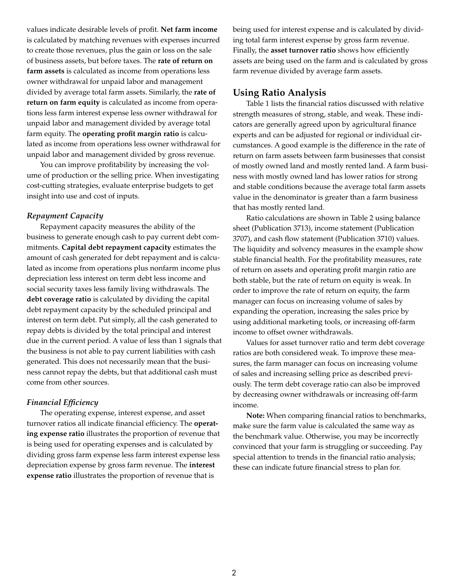values indicate desirable levels of profit. **Net farm income** is calculated by matching revenues with expenses incurred to create those revenues, plus the gain or loss on the sale of business assets, but before taxes. The **rate of return on farm assets** is calculated as income from operations less owner withdrawal for unpaid labor and management divided by average total farm assets. Similarly, the **rate of return on farm equity** is calculated as income from operations less farm interest expense less owner withdrawal for unpaid labor and management divided by average total farm equity. The **operating profit margin ratio** is calculated as income from operations less owner withdrawal for unpaid labor and management divided by gross revenue.

You can improve profitability by increasing the volume of production or the selling price. When investigating cost-cutting strategies, evaluate enterprise budgets to get insight into use and cost of inputs.

# *Repayment Capacity*

Repayment capacity measures the ability of the business to generate enough cash to pay current debt commitments. **Capital debt repayment capacity** estimates the amount of cash generated for debt repayment and is calculated as income from operations plus nonfarm income plus depreciation less interest on term debt less income and social security taxes less family living withdrawals. The **debt coverage ratio** is calculated by dividing the capital debt repayment capacity by the scheduled principal and interest on term debt. Put simply, all the cash generated to repay debts is divided by the total principal and interest due in the current period. A value of less than 1 signals that the business is not able to pay current liabilities with cash generated. This does not necessarily mean that the business cannot repay the debts, but that additional cash must come from other sources.

# *Financial Efficiency*

The operating expense, interest expense, and asset turnover ratios all indicate financial efficiency. The **operating expense ratio** illustrates the proportion of revenue that is being used for operating expenses and is calculated by dividing gross farm expense less farm interest expense less depreciation expense by gross farm revenue. The **interest expense ratio** illustrates the proportion of revenue that is

being used for interest expense and is calculated by dividing total farm interest expense by gross farm revenue. Finally, the **asset turnover ratio** shows how efficiently assets are being used on the farm and is calculated by gross farm revenue divided by average farm assets.

# **Using Ratio Analysis**

Table 1 lists the financial ratios discussed with relative strength measures of strong, stable, and weak. These indicators are generally agreed upon by agricultural finance experts and can be adjusted for regional or individual circumstances. A good example is the difference in the rate of return on farm assets between farm businesses that consist of mostly owned land and mostly rented land. A farm business with mostly owned land has lower ratios for strong and stable conditions because the average total farm assets value in the denominator is greater than a farm business that has mostly rented land.

Ratio calculations are shown in Table 2 using balance sheet (Publication 3713), income statement (Publication 3707), and cash flow statement (Publication 3710) values. The liquidity and solvency measures in the example show stable financial health. For the profitability measures, rate of return on assets and operating profit margin ratio are both stable, but the rate of return on equity is weak. In order to improve the rate of return on equity, the farm manager can focus on increasing volume of sales by expanding the operation, increasing the sales price by using additional marketing tools, or increasing off-farm income to offset owner withdrawals.

Values for asset turnover ratio and term debt coverage ratios are both considered weak. To improve these measures, the farm manager can focus on increasing volume of sales and increasing selling price as described previously. The term debt coverage ratio can also be improved by decreasing owner withdrawals or increasing off-farm income.

**Note:** When comparing financial ratios to benchmarks, make sure the farm value is calculated the same way as the benchmark value. Otherwise, you may be incorrectly convinced that your farm is struggling or succeeding. Pay special attention to trends in the financial ratio analysis; these can indicate future financial stress to plan for.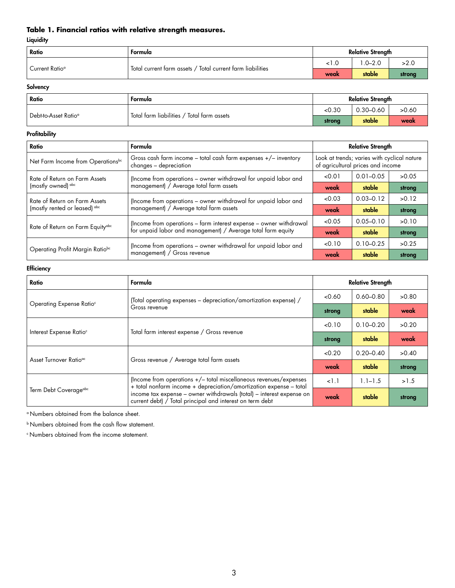# **Table 1. Financial ratios with relative strength measures.**

#### **Liquidity**

| Ratio          | Formula                                                      | Relative Strength |            |        |  |
|----------------|--------------------------------------------------------------|-------------------|------------|--------|--|
| Current Ratioª | ' Total current farm assets / Total current farm liabilities |                   | $.0 - 2.0$ | >2.0   |  |
|                |                                                              | weak              | stable     | strong |  |

# **Solvency**

| Ratio                            | Formula                                    | <b>Relative Strength</b> |               |       |  |
|----------------------------------|--------------------------------------------|--------------------------|---------------|-------|--|
| Debt-to-Asset Ratio <sup>a</sup> | Total farm liabilities / Total farm assets | <0.30                    | $0.30 - 0.60$ | >0.60 |  |
|                                  |                                            | strong                   | stable        | weak  |  |

#### **Profitability**

| Ratio                                                          | Formula                                                                                                    | <b>Relative Strength</b>                                                         |               |        |  |
|----------------------------------------------------------------|------------------------------------------------------------------------------------------------------------|----------------------------------------------------------------------------------|---------------|--------|--|
| Net Farm Income from Operationsbc                              | Gross cash farm income - total cash farm expenses +/- inventory<br>changes - depreciation                  | Look at trends; varies with cyclical nature<br>of agricultural prices and income |               |        |  |
| Rate of Return on Farm Assets                                  | (Income from operations – owner withdrawal for unpaid labor and                                            | < 0.01                                                                           | $0.01 - 0.05$ | >0.05  |  |
| (mostly owned) abc                                             | management) / Average total farm assets                                                                    | weak                                                                             | stable        | strong |  |
| Rate of Return on Farm Assets<br>(mostly rented or leased) abc | (Income from operations – owner withdrawal for unpaid labor and<br>management) / Average total farm assets | &0.03                                                                            | $0.03 - 0.12$ | >0.12  |  |
|                                                                |                                                                                                            | weak                                                                             | stable        | strong |  |
|                                                                | (Income from operations - farm interest expense - owner withdrawal                                         | < 0.05                                                                           | $0.05 - 0.10$ | >0.10  |  |
| Rate of Return on Farm Equity <sup>abc</sup>                   | for unpaid labor and management) / Average total farm equity                                               | weak                                                                             | stable        | strong |  |
|                                                                | (Income from operations - owner withdrawal for unpaid labor and                                            | < 0.10                                                                           | $0.10 - 0.25$ | >0.25  |  |
| Operating Profit Margin Ratiobc                                | management) / Gross revenue                                                                                | weak                                                                             | stable        | strong |  |

# **Efficiency**

| Ratio                                | Formula                                                                                                                                 | <b>Relative Strength</b> |               |        |
|--------------------------------------|-----------------------------------------------------------------------------------------------------------------------------------------|--------------------------|---------------|--------|
|                                      | (Total operating expenses - depreciation/amortization expense) /                                                                        | 0.60                     | $0.60 - 0.80$ | >0.80  |
| Operating Expense Ratio <sup>c</sup> | Gross revenue                                                                                                                           | strong                   | stable        | weak   |
| Interest Expense Ratio <sup>c</sup>  |                                                                                                                                         | < 0.10                   | $0.10 - 0.20$ | >0.20  |
|                                      | Total farm interest expense / Gross revenue                                                                                             | strong                   | stable        | weak   |
|                                      |                                                                                                                                         | < 0.20                   | $0.20 - 0.40$ | >0.40  |
| Asset Turnover Ratio <sup>ac</sup>   | Gross revenue / Average total farm assets                                                                                               | weak                     | stable        | strong |
| Term Debt Coverageabc                | (Income from operations +/- total miscellaneous revenues/expenses<br>+ total nonfarm income + depreciation/amortization expense - total | 1.1                      | $1.1 - 1.5$   | >1.5   |
|                                      | income tax expense - owner withdrawals (total) - interest expense on<br>current debt) / Total principal and interest on term debt       | weak                     | stable        | strong |

a Numbers obtained from the balance sheet.

b Numbers obtained from the cash flow statement.

c Numbers obtained from the income statement.